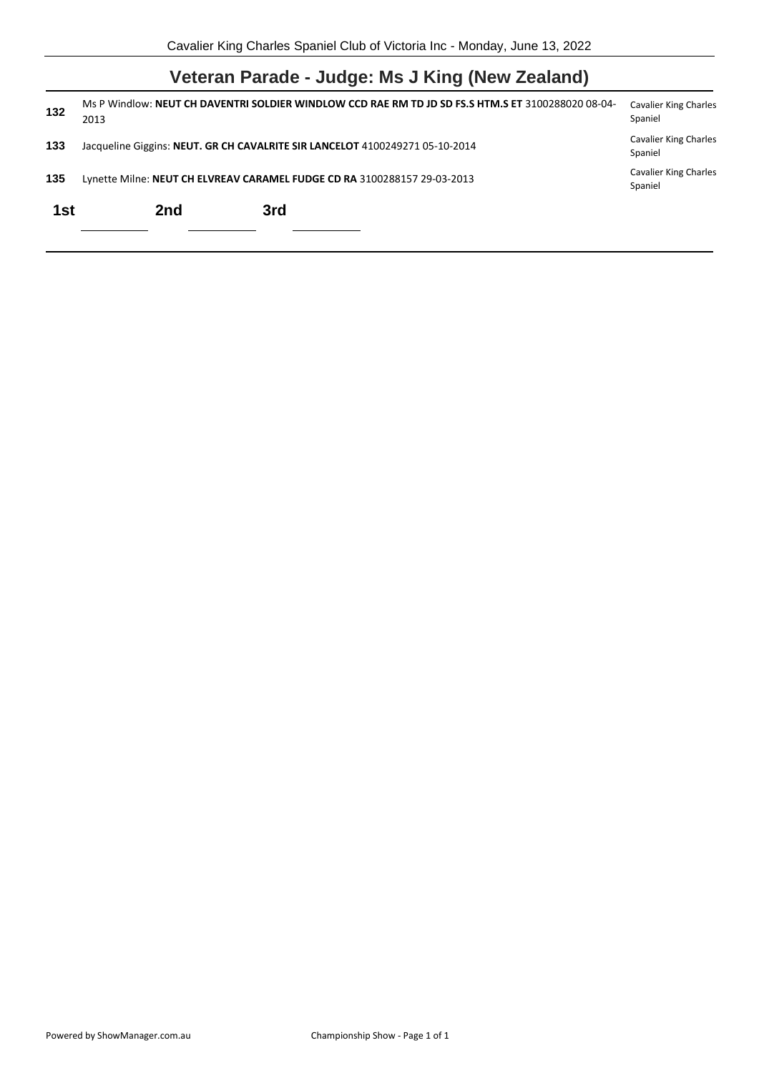|  |  |  |  |  | Veteran Parade - Judge: Ms J King (New Zealand) |  |
|--|--|--|--|--|-------------------------------------------------|--|
|--|--|--|--|--|-------------------------------------------------|--|

| 132 | Ms P Windlow: NEUT CH DAVENTRI SOLDIER WINDLOW CCD RAE RM TD JD SD FS.S HTM.S ET 3100288020 08-04-<br>2013 |     |                                                                              |                                         |  |
|-----|------------------------------------------------------------------------------------------------------------|-----|------------------------------------------------------------------------------|-----------------------------------------|--|
| 133 |                                                                                                            |     | Jacqueline Giggins: NEUT. GR CH CAVALRITE SIR LANCELOT 4100249271 05-10-2014 | <b>Cavalier King Charles</b><br>Spaniel |  |
| 135 |                                                                                                            |     | Lynette Milne: NEUT CH ELVREAV CARAMEL FUDGE CD RA 3100288157 29-03-2013     | <b>Cavalier King Charles</b><br>Spaniel |  |
| 1st |                                                                                                            | 2nd | 3rd                                                                          |                                         |  |
|     |                                                                                                            |     |                                                                              |                                         |  |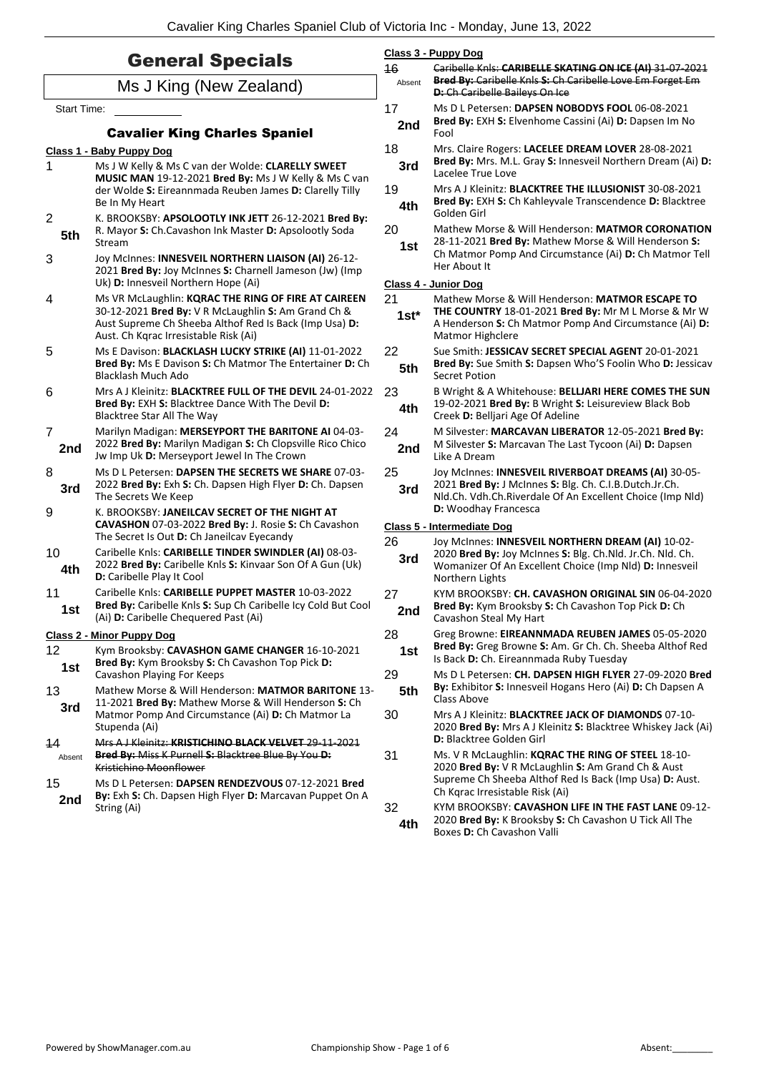| <b>General Specials</b>                             |                                                                                                                                                                                                               | 46                                | Class 3 - Puppy Dog<br>Caribelle Knls: CARIBELLE SKATING ON ICE (AI) 31 07 2021                                                                                                              |  |  |
|-----------------------------------------------------|---------------------------------------------------------------------------------------------------------------------------------------------------------------------------------------------------------------|-----------------------------------|----------------------------------------------------------------------------------------------------------------------------------------------------------------------------------------------|--|--|
|                                                     | Ms J King (New Zealand)                                                                                                                                                                                       | Absent                            | Bred By: Caribelle Knls S: Ch Caribelle Love Em Forget Em<br>D: Ch Caribelle Baileys On Ice                                                                                                  |  |  |
| Start Time:<br><b>Cavalier King Charles Spaniel</b> |                                                                                                                                                                                                               | 17<br>2nd                         | Ms D L Petersen: DAPSEN NOBODYS FOOL 06-08-2021<br>Bred By: EXH S: Elvenhome Cassini (Ai) D: Dapsen Im No<br>Fool                                                                            |  |  |
|                                                     | Class 1 - Baby Puppy Dog                                                                                                                                                                                      | 18                                | Mrs. Claire Rogers: LACELEE DREAM LOVER 28-08-2021                                                                                                                                           |  |  |
| 1                                                   | Ms J W Kelly & Ms C van der Wolde: CLARELLY SWEET                                                                                                                                                             | 3rd                               | Bred By: Mrs. M.L. Gray S: Innesveil Northern Dream (Ai) D:<br>Lacelee True Love                                                                                                             |  |  |
|                                                     | MUSIC MAN 19-12-2021 Bred By: Ms J W Kelly & Ms C van<br>der Wolde S: Eireannmada Reuben James D: Clarelly Tilly<br>Be In My Heart                                                                            | 19<br>4th                         | Mrs A J Kleinitz: BLACKTREE THE ILLUSIONIST 30-08-2021<br>Bred By: EXH S: Ch Kahleyvale Transcendence D: Blacktree                                                                           |  |  |
| $\overline{2}$                                      | K. BROOKSBY: APSOLOOTLY INK JETT 26-12-2021 Bred By:                                                                                                                                                          |                                   | Golden Girl                                                                                                                                                                                  |  |  |
| 5th<br>3                                            | R. Mayor S: Ch.Cavashon Ink Master D: Apsolootly Soda<br>Stream<br>Joy McInnes: INNESVEIL NORTHERN LIAISON (AI) 26-12-                                                                                        | 20<br>1st                         | Mathew Morse & Will Henderson: MATMOR CORONATION<br>28-11-2021 Bred By: Mathew Morse & Will Henderson S:<br>Ch Matmor Pomp And Circumstance (Ai) D: Ch Matmor Tell                           |  |  |
|                                                     | 2021 Bred By: Joy McInnes S: Charnell Jameson (Jw) (Imp                                                                                                                                                       |                                   | Her About It                                                                                                                                                                                 |  |  |
|                                                     | Uk) D: Innesveil Northern Hope (Ai)                                                                                                                                                                           |                                   | Class 4 - Junior Dog                                                                                                                                                                         |  |  |
| 4                                                   | Ms VR McLaughlin: KQRAC THE RING OF FIRE AT CAIREEN<br>30-12-2021 Bred By: V R McLaughlin S: Am Grand Ch &<br>Aust Supreme Ch Sheeba Althof Red Is Back (Imp Usa) D:<br>Aust. Ch Kqrac Irresistable Risk (Ai) | 21<br>$1st*$                      | Mathew Morse & Will Henderson: MATMOR ESCAPE TO<br>THE COUNTRY 18-01-2021 Bred By: Mr M L Morse & Mr W<br>A Henderson S: Ch Matmor Pomp And Circumstance (Ai) D:<br>Matmor Highclere         |  |  |
| 5                                                   | Ms E Davison: BLACKLASH LUCKY STRIKE (AI) 11-01-2022<br>Bred By: Ms E Davison S: Ch Matmor The Entertainer D: Ch<br>Blacklash Much Ado                                                                        | 22<br>5th                         | Sue Smith: JESSICAV SECRET SPECIAL AGENT 20-01-2021<br>Bred By: Sue Smith S: Dapsen Who'S Foolin Who D: Jessicav<br>Secret Potion                                                            |  |  |
| 6                                                   | Mrs A J Kleinitz: BLACKTREE FULL OF THE DEVIL 24-01-2022<br>Bred By: EXH S: Blacktree Dance With The Devil D:<br>Blacktree Star All The Way                                                                   | 23<br>4th                         | B Wright & A Whitehouse: BELLJARI HERE COMES THE SUN<br>19-02-2021 Bred By: B Wright S: Leisureview Black Bob<br>Creek D: Belljari Age Of Adeline                                            |  |  |
| $\overline{7}$<br>2nd                               | Marilyn Madigan: MERSEYPORT THE BARITONE AI 04-03-<br>2022 Bred By: Marilyn Madigan S: Ch Clopsville Rico Chico<br>Jw Imp Uk D: Merseyport Jewel In The Crown                                                 | 24<br>2nd                         | M Silvester: MARCAVAN LIBERATOR 12-05-2021 Bred By:<br>M Silvester S: Marcavan The Last Tycoon (Ai) D: Dapsen<br>Like A Dream                                                                |  |  |
| 8<br>3rd                                            | Ms D L Petersen: DAPSEN THE SECRETS WE SHARE 07-03-<br>2022 Bred By: Exh S: Ch. Dapsen High Flyer D: Ch. Dapsen<br>The Secrets We Keep                                                                        | 25<br>3rd                         | Joy McInnes: INNESVEIL RIVERBOAT DREAMS (AI) 30-05-<br>2021 Bred By: J McInnes S: Blg. Ch. C.I.B.Dutch.Jr.Ch.<br>Nld.Ch. Vdh.Ch.Riverdale Of An Excellent Choice (Imp Nld)                   |  |  |
| 9                                                   | K. BROOKSBY: JANEILCAV SECRET OF THE NIGHT AT                                                                                                                                                                 | D: Woodhay Francesca              |                                                                                                                                                                                              |  |  |
|                                                     | CAVASHON 07-03-2022 Bred By: J. Rosie S: Ch Cavashon<br>The Secret Is Out D: Ch Janeilcav Eyecandy                                                                                                            | <b>Class 5 - Intermediate Dog</b> |                                                                                                                                                                                              |  |  |
| 10<br>4th                                           | Caribelle Knls: CARIBELLE TINDER SWINDLER (AI) 08-03-<br>2022 Bred By: Caribelle Knls S: Kinvaar Son Of A Gun (Uk)<br>D: Caribelle Play It Cool                                                               | 26<br>3rd                         | Joy McInnes: INNESVEIL NORTHERN DREAM (AI) 10-02-<br>2020 Bred By: Joy McInnes S: Blg. Ch.Nld. Jr.Ch. Nld. Ch.<br>Womanizer Of An Excellent Choice (Imp Nld) D: Innesveil<br>Northern Lights |  |  |
| 11<br>1st                                           | Caribelle Knls: CARIBELLE PUPPET MASTER 10-03-2022<br>Bred By: Caribelle Knls S: Sup Ch Caribelle Icy Cold But Cool<br>(Ai) D: Caribelle Chequered Past (Ai)                                                  | 27<br>2nd                         | KYM BROOKSBY: CH. CAVASHON ORIGINAL SIN 06-04-2020<br>Bred By: Kym Brooksby S: Ch Cavashon Top Pick D: Ch<br>Cavashon Steal My Hart                                                          |  |  |
|                                                     | <b>Class 2 - Minor Puppy Dog</b>                                                                                                                                                                              | 28                                | Greg Browne: EIREANNMADA REUBEN JAMES 05-05-2020                                                                                                                                             |  |  |
| 12<br>1st                                           | Kym Brooksby: CAVASHON GAME CHANGER 16-10-2021<br>Bred By: Kym Brooksby S: Ch Cavashon Top Pick D:                                                                                                            | 1st                               | Bred By: Greg Browne S: Am. Gr Ch. Ch. Sheeba Althof Red<br>Is Back D: Ch. Eireannmada Ruby Tuesday                                                                                          |  |  |
| 13<br>3rd                                           | Cavashon Playing For Keeps<br>Mathew Morse & Will Henderson: MATMOR BARITONE 13-<br>11-2021 Bred By: Mathew Morse & Will Henderson S: Ch                                                                      | 29<br>5th                         | Ms D L Petersen: CH. DAPSEN HIGH FLYER 27-09-2020 Bred<br>By: Exhibitor S: Innesveil Hogans Hero (Ai) D: Ch Dapsen A<br>Class Above                                                          |  |  |
|                                                     | Matmor Pomp And Circumstance (Ai) D: Ch Matmor La<br>Stupenda (Ai)                                                                                                                                            | 30                                | Mrs A J Kleinitz: BLACKTREE JACK OF DIAMONDS 07-10-<br>2020 Bred By: Mrs A J Kleinitz S: Blacktree Whiskey Jack (Ai)<br><b>D:</b> Blacktree Golden Girl                                      |  |  |
| 14<br>Absent                                        | Mrs A J Kleinitz: KRISTICHINO BLACK VELVET 29 11 2021<br>Bred By: Miss K Purnell S: Blacktree Blue By You D:<br>Kristichino Moonflower                                                                        | 31                                | Ms. V R McLaughlin: KQRAC THE RING OF STEEL 18-10-<br>2020 Bred By: V R McLaughlin S: Am Grand Ch & Aust                                                                                     |  |  |
| 15<br>2nd                                           | Ms D L Petersen: DAPSEN RENDEZVOUS 07-12-2021 Bred<br>By: Exh S: Ch. Dapsen High Flyer D: Marcavan Puppet On A                                                                                                |                                   | Supreme Ch Sheeba Althof Red Is Back (Imp Usa) D: Aust.<br>Ch Kqrac Irresistable Risk (Ai)                                                                                                   |  |  |
|                                                     | String (Ai)                                                                                                                                                                                                   | 32<br>4th                         | KYM BROOKSBY: CAVASHON LIFE IN THE FAST LANE 09-12-<br>2020 Bred By: K Brooksby S: Ch Cavashon U Tick All The<br>Boxes D: Ch Cavashon Valli                                                  |  |  |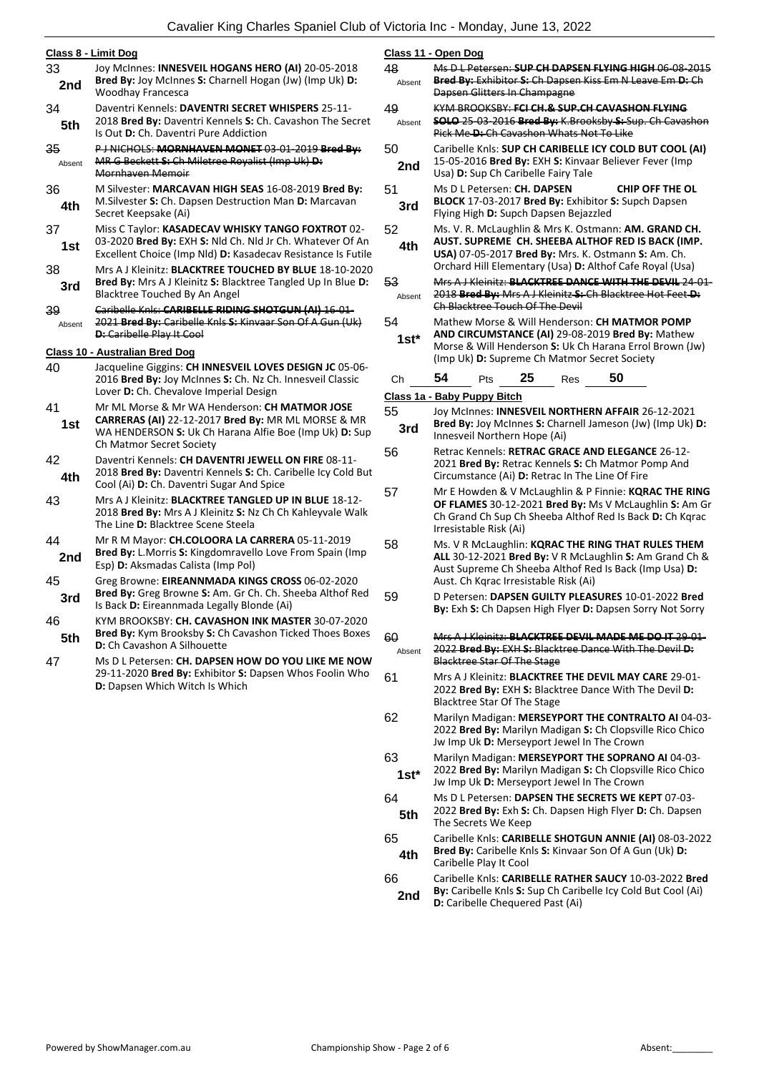|              | Class 8 - Limit Dog                                                                                                                                                                       | <u>CI</u>      |
|--------------|-------------------------------------------------------------------------------------------------------------------------------------------------------------------------------------------|----------------|
| 33<br>2nd    | Joy McInnes: INNESVEIL HOGANS HERO (AI) 20-05-2018<br>Bred By: Joy McInnes S: Charnell Hogan (Jw) (Imp Uk) D:<br>Woodhay Francesca                                                        | 48             |
| 34<br>5th    | Daventri Kennels: DAVENTRI SECRET WHISPERS 25-11-<br>2018 Bred By: Daventri Kennels S: Ch. Cavashon The Secret<br>Is Out D: Ch. Daventri Pure Addiction                                   | 49             |
| 35<br>Absent | P J NICHOLS: MORNHAVEN MONET 03 01 2019 Bred By:<br>MR G Beckett S: Ch Miletree Royalist (Imp Uk) D:<br>Mornhaven Memoir                                                                  | 50             |
| 36<br>4th    | M Silvester: MARCAVAN HIGH SEAS 16-08-2019 Bred By:<br>M. Silvester S: Ch. Dapsen Destruction Man D: Marcavan<br>Secret Keepsake (Ai)                                                     | 51             |
| 37<br>1st    | Miss C Taylor: KASADECAV WHISKY TANGO FOXTROT 02-<br>03-2020 Bred By: EXH S: Nld Ch. Nld Jr Ch. Whatever Of An<br>Excellent Choice (Imp Nld) D: Kasadecav Resistance Is Futile            | 52             |
| 38<br>3rd    | Mrs A J Kleinitz: <b>BLACKTREE TOUCHED BY BLUE</b> 18-10-2020<br>Bred By: Mrs A J Kleinitz S: Blacktree Tangled Up In Blue D:<br>Blacktree Touched By An Angel                            | 53             |
| 39<br>Absent | Caribelle Knls: CARIBELLE RIDING SHOTGUN (AI) 16 01-<br>2021 Bred By: Caribelle Knls S: Kinvaar Son Of A Gun (Uk)<br><b>D:</b> Caribelle Play It Cool                                     | 54             |
|              | Class 10 - Australian Bred Dog                                                                                                                                                            |                |
| 40           | Jacqueline Giggins: CH INNESVEIL LOVES DESIGN JC 05-06-<br>2016 Bred By: Joy McInnes S: Ch. Nz Ch. Innesveil Classic<br>Lover D: Ch. Chevalove Imperial Design                            | O<br><u>CI</u> |
| 41<br>1st    | Mr ML Morse & Mr WA Henderson: CH MATMOR JOSE<br>CARRERAS (AI) 22-12-2017 Bred By: MR ML MORSE & MR<br>WA HENDERSON S: Uk Ch Harana Alfie Boe (Imp Uk) D: Sup<br>Ch Matmor Secret Society | 55             |
| 42<br>4th    | Daventri Kennels: CH DAVENTRI JEWELL ON FIRE 08-11-<br>2018 Bred By: Daventri Kennels S: Ch. Caribelle Icy Cold But<br>Cool (Ai) D: Ch. Daventri Sugar And Spice                          | 56             |
| 43           | Mrs A J Kleinitz: <b>BLACKTREE TANGLED UP IN BLUE</b> 18-12-<br>2018 Bred By: Mrs A J Kleinitz S: Nz Ch Ch Kahleyvale Walk<br>The Line D: Blacktree Scene Steela                          | 5 <sub>i</sub> |
| 44<br>2nd    | Mr R M Mayor: CH.COLOORA LA CARRERA 05-11-2019<br>Bred By: L.Morris S: Kingdomravello Love From Spain (Imp<br>Esp) D: Aksmadas Calista (Imp Pol)                                          | 58             |
| 45<br>3rd    | Greg Browne: EIREANNMADA KINGS CROSS 06-02-2020<br>Bred By: Greg Browne S: Am. Gr Ch. Ch. Sheeba Althof Red<br>Is Back D: Eireannmada Legally Blonde (Ai)                                 | 59             |
| 46<br>5th    | KYM BROOKSBY: CH. CAVASHON INK MASTER 30-07-2020<br>Bred By: Kym Brooksby S: Ch Cavashon Ticked Thoes Boxes<br>D: Ch Cavashon A Silhouette                                                | 60             |
| 47           | Ms D L Petersen: CH. DAPSEN HOW DO YOU LIKE ME NOW<br>29-11-2020 Bred By: Exhibitor S: Dapsen Whos Foolin Who<br>D: Dapsen Which Witch Is Which                                           | 61             |
|              |                                                                                                                                                                                           |                |

### **Class 11 - Open Dog**

|              | <u> Class II - Open Dog</u>                                                                                                                                                                                      |
|--------------|------------------------------------------------------------------------------------------------------------------------------------------------------------------------------------------------------------------|
| 48<br>Absent | Ms D L Petersen: SUP CH DAPSEN FLYING HIGH 06 08 2015<br>Bred By: Exhibitor S: Ch Dapsen Kiss Em N Leave Em D: Ch<br>Dapsen Glitters In Champagne                                                                |
| 49           | KYM BROOKSBY: FCI CH.& SUP.CH CAVASHON FLYING                                                                                                                                                                    |
| Absent       | <b>SOLO</b> 25 03 2016 Bred By: K.Brooksby S: Sup. Ch Cavashon<br>Pick Me-D: Ch Cavashon Whats Not To Like                                                                                                       |
| 50           | Caribelle Knls: SUP CH CARIBELLE ICY COLD BUT COOL (AI)                                                                                                                                                          |
| 2nd          | 15-05-2016 Bred By: EXH S: Kinvaar Believer Fever (Imp<br>Usa) D: Sup Ch Caribelle Fairy Tale                                                                                                                    |
| 51           | Ms D L Petersen: <b>CH. DAPSEN</b><br><b>CHIP OFF THE OL</b>                                                                                                                                                     |
| 3rd          | BLOCK 17-03-2017 Bred By: Exhibitor S: Supch Dapsen<br>Flying High D: Supch Dapsen Bejazzled                                                                                                                     |
| 52           | Ms. V. R. McLaughlin & Mrs K. Ostmann: AM. GRAND CH.<br>AUST. SUPREME CH. SHEEBA ALTHOF RED IS BACK (IMP.                                                                                                        |
| 4th          | USA) 07-05-2017 Bred By: Mrs. K. Ostmann S: Am. Ch.<br>Orchard Hill Elementary (Usa) D: Althof Cafe Royal (Usa)                                                                                                  |
| 53<br>Absent | Mrs A J Kleinitz: BLACKTREE DANCE WITH THE DEVIL 24 01<br>2018 Bred By: Mrs A J Kleinitz S: Ch Blacktree Hot Feet D:<br>Ch Blacktree Touch Of The Devil                                                          |
| 54<br>$1st*$ | Mathew Morse & Will Henderson: CH MATMOR POMP<br>AND CIRCUMSTANCE (AI) 29-08-2019 Bred By: Mathew<br>Morse & Will Henderson S: Uk Ch Harana Errol Brown (Jw)<br>(Imp Uk) D: Supreme Ch Matmor Secret Society     |
| Ch           | 50<br>54<br>25<br>Pts<br>Res                                                                                                                                                                                     |
|              | Class 1a - Baby Puppy Bitch                                                                                                                                                                                      |
| 55           | Joy McInnes: INNESVEIL NORTHERN AFFAIR 26-12-2021                                                                                                                                                                |
| 3rd          | Bred By: Joy McInnes S: Charnell Jameson (Jw) (Imp Uk) D:<br>Innesveil Northern Hope (Ai)                                                                                                                        |
| 56           | Retrac Kennels: RETRAC GRACE AND ELEGANCE 26-12-<br>2021 Bred By: Retrac Kennels S: Ch Matmor Pomp And<br>Circumstance (Ai) D: Retrac In The Line Of Fire                                                        |
| 57           | Mr E Howden & V McLaughlin & P Finnie: KQRAC THE RING<br>OF FLAMES 30-12-2021 Bred By: Ms V McLaughlin S: Am Gr<br>Ch Grand Ch Sup Ch Sheeba Althof Red Is Back D: Ch Kqrac<br>Irresistable Risk (Ai)            |
| 58           | Ms. V R McLaughlin: KQRAC THE RING THAT RULES THEM<br>ALL 30-12-2021 Bred By: V R McLaughlin S: Am Grand Ch &<br>Aust Supreme Ch Sheeba Althof Red Is Back (Imp Usa) D:<br>Aust. Ch Kqrac Irresistable Risk (Ai) |
| 59           | D Petersen: DAPSEN GUILTY PLEASURES 10-01-2022 Bred<br>By: Exh S: Ch Dapsen High Flyer D: Dapsen Sorry Not Sorry                                                                                                 |
| 60<br>Absent | Mrs A J Kleinitz: BLACKTREE DEVIL MADE ME DO IT 29-01-<br>2022 Bred By: EXH-S: Blacktree Dance With The Devil-D:<br><b>Blacktree Star Of The Stage</b>                                                           |
| 61           | Mrs A J Kleinitz: <b>BLACKTREE THE DEVIL MAY CARE</b> 29-01-<br>2022 Bred By: EXH S: Blacktree Dance With The Devil D:<br>Blacktree Star Of The Stage                                                            |
| 62           | Marilyn Madigan: MERSEYPORT THE CONTRALTO AI 04-03-<br>2022 Bred By: Marilyn Madigan S: Ch Clopsville Rico Chico<br>Jw Imp Uk D: Merseyport Jewel In The Crown                                                   |
| 63<br>$1st*$ | Marilyn Madigan: MERSEYPORT THE SOPRANO AI 04-03-<br>2022 Bred By: Marilyn Madigan S: Ch Clopsville Rico Chico<br>Jw Imp Uk D: Merseyport Jewel In The Crown                                                     |
| 64<br>5th    | Ms D L Petersen: DAPSEN THE SECRETS WE KEPT 07-03-<br>2022 Bred By: Exh S: Ch. Dapsen High Flyer D: Ch. Dapsen<br>The Secrets We Keep                                                                            |
| 65<br>4th    | Caribelle Knls: CARIBELLE SHOTGUN ANNIE (AI) 08-03-2022<br>Bred By: Caribelle Knls S: Kinvaar Son Of A Gun (Uk) D:<br>Caribelle Play It Cool                                                                     |
| 66<br>2nd    | Caribelle Knls: CARIBELLE RATHER SAUCY 10-03-2022 Bred<br>By: Caribelle Knls S: Sup Ch Caribelle Icy Cold But Cool (Ai)<br>D: Caribelle Chequered Past (Ai)                                                      |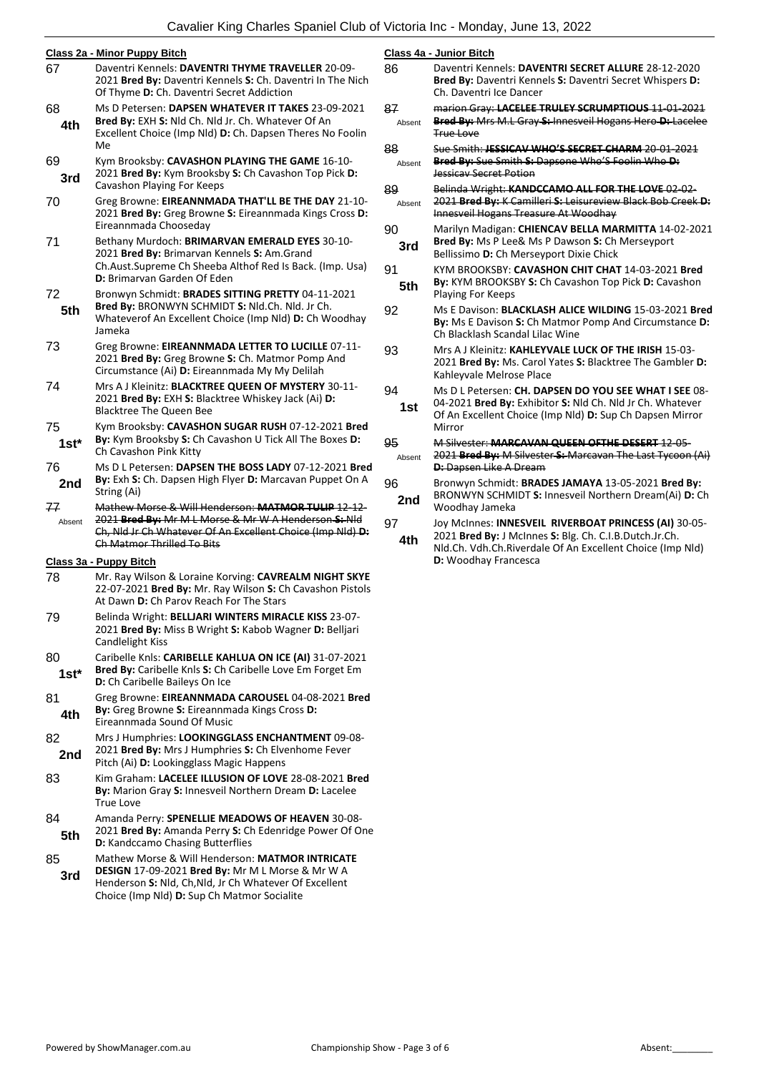|              | Class 2a - Minor Puppy Bitch                                                                                                                                                                                 | <b>Class</b>    |
|--------------|--------------------------------------------------------------------------------------------------------------------------------------------------------------------------------------------------------------|-----------------|
| 67           | Daventri Kennels: DAVENTRI THYME TRAVELLER 20-09-<br>2021 Bred By: Daventri Kennels S: Ch. Daventri In The Nich<br>Of Thyme D: Ch. Daventri Secret Addiction                                                 | 86              |
| 68<br>4th    | Ms D Petersen: DAPSEN WHATEVER IT TAKES 23-09-2021<br>Bred By: EXH S: Nld Ch. Nld Jr. Ch. Whatever Of An<br>Excellent Choice (Imp Nld) D: Ch. Dapsen Theres No Foolin<br>Me                                  | 87<br>Abs<br>88 |
| 69<br>3rd    | Kym Brooksby: CAVASHON PLAYING THE GAME 16-10-<br>2021 Bred By: Kym Brooksby S: Ch Cavashon Top Pick D:<br>Cavashon Playing For Keeps                                                                        | Abs<br>89       |
| 70           | Greg Browne: EIREANNMADA THAT'LL BE THE DAY 21-10-<br>2021 Bred By: Greg Browne S: Eireannmada Kings Cross D:<br>Eireannmada Chooseday                                                                       | Abs<br>90       |
| 71           | Bethany Murdoch: BRIMARVAN EMERALD EYES 30-10-<br>2021 Bred By: Brimarvan Kennels S: Am.Grand<br>Ch.Aust.Supreme Ch Sheeba Althof Red Is Back. (Imp. Usa)<br>D: Brimarvan Garden Of Eden                     | 3r<br>91        |
| 72<br>5th    | Bronwyn Schmidt: BRADES SITTING PRETTY 04-11-2021<br>Bred By: BRONWYN SCHMIDT S: Nld.Ch. Nld. Jr Ch.<br>Whateverof An Excellent Choice (Imp Nld) D: Ch Woodhay<br>Jameka                                     | 5t<br>92        |
| 73           | Greg Browne: EIREANNMADA LETTER TO LUCILLE 07-11-<br>2021 Bred By: Greg Browne S: Ch. Matmor Pomp And<br>Circumstance (Ai) D: Eireannmada My My Delilah                                                      | 93              |
| 74           | Mrs A J Kleinitz: BLACKTREE QUEEN OF MYSTERY 30-11-<br>2021 Bred By: EXH S: Blacktree Whiskey Jack (Ai) D:<br><b>Blacktree The Queen Bee</b>                                                                 | 94<br>1ເ        |
| 75<br>$1st*$ | Kym Brooksby: CAVASHON SUGAR RUSH 07-12-2021 Bred<br>By: Kym Brooksby S: Ch Cavashon U Tick All The Boxes D:<br>Ch Cavashon Pink Kitty                                                                       | 95<br>Abs       |
| 76<br>2nd    | Ms D L Petersen: DAPSEN THE BOSS LADY 07-12-2021 Bred<br>By: Exh S: Ch. Dapsen High Flyer D: Marcavan Puppet On A<br>String (Ai)                                                                             | 96              |
| 77<br>Absent | Mathew Morse & Will Henderson: MATMOR TULIP 12 12<br>2021 Bred By: Mr M L Morse & Mr W A Henderson S: Nld<br>Ch, Nid Jr Ch Whatever Of An Excellent Choice (Imp Nid) D:<br><b>Ch Matmor Thrilled To Bits</b> | 2n<br>97<br>4t  |
|              | <u> Class 3a - Puppy Bitch</u>                                                                                                                                                                               |                 |
| 78           | Mr. Ray Wilson & Loraine Korving: CAVREALM NIGHT SKYE<br>22-07-2021 Bred By: Mr. Ray Wilson S: Ch Cavashon Pistols<br>At Dawn D: Ch Parov Reach For The Stars                                                |                 |
| 79           | Belinda Wright: BELLJARI WINTERS MIRACLE KISS 23-07-<br>2021 Bred By: Miss B Wright S: Kabob Wagner D: Belljari<br>Candlelight Kiss                                                                          |                 |
| 80<br>1st*   | Caribelle Knls: CARIBELLE KAHLUA ON ICE (AI) 31-07-2021<br>Bred By: Caribelle Knls S: Ch Caribelle Love Em Forget Em<br>D: Ch Caribelle Baileys On Ice                                                       |                 |
| 81<br>4th    | Greg Browne: EIREANNMADA CAROUSEL 04-08-2021 Bred<br>By: Greg Browne S: Eireannmada Kings Cross D:<br>Eireannmada Sound Of Music                                                                             |                 |
| 82<br>2nd    | Mrs J Humphries: LOOKINGGLASS ENCHANTMENT 09-08-<br>2021 Bred By: Mrs J Humphries S: Ch Elvenhome Fever<br>Pitch (Ai) D: Lookingglass Magic Happens                                                          |                 |
| 83           | Kim Graham: LACELEE ILLUSION OF LOVE 28-08-2021 Bred<br>By: Marion Gray S: Innesveil Northern Dream D: Lacelee<br>True Love                                                                                  |                 |
| 84<br>5th    | Amanda Perry: SPENELLIE MEADOWS OF HEAVEN 30-08-<br>2021 Bred By: Amanda Perry S: Ch Edenridge Power Of One<br>D: Kandccamo Chasing Butterflies                                                              |                 |
| 85           | Mathew Morse & Will Henderson: MATMOR INTRICATE                                                                                                                                                              |                 |

**DESIGN** 17-09-2021 **Bred By:** Mr M L Morse & Mr W A Henderson **S:** Nld, Ch,Nld, Jr Ch Whatever Of Excellent Choice (Imp Nld) **D:** Sup Ch Matmor Socialite **3rd**

|              | Class 4a - Junior Bitch                                                                                                                                                                              |
|--------------|------------------------------------------------------------------------------------------------------------------------------------------------------------------------------------------------------|
| 86           | Daventri Kennels: DAVENTRI SECRET ALLURE 28-12-2020<br><b>Bred By: Daventri Kennels S: Daventri Secret Whispers D:</b><br>Ch. Daventri Ice Dancer                                                    |
| 87<br>Absent | marion Gray: LACELEE TRULEY SCRUMPTIOUS 11-01-2021<br><b>Bred By:</b> Mrs M.L Gray S: Innesveil Hogans Hero D: Lacelee<br>True Love                                                                  |
| 88<br>Absent | Sue Smith: JESSICAV WHO'S SECRET CHARM 20 01 2021<br>Bred By: Sue Smith S: Dapsone Who'S Foolin Who D:<br><b>Jessicav Secret Potion</b>                                                              |
| 89<br>Absent | Belinda Wright: KANDCCAMO ALL FOR THE LOVE 02 02<br>2021 Bred By: K Camilleri S: Leisureview Black Bob Creek D:<br>Innesveil Hogans Treasure At Woodhay                                              |
| 90<br>3rd    | Marilyn Madigan: CHIENCAV BELLA MARMITTA 14-02-2021<br>Bred By: Ms P Lee& Ms P Dawson S: Ch Merseyport<br>Bellissimo D: Ch Merseyport Dixie Chick                                                    |
| 91<br>5th    | KYM BROOKSBY: CAVASHON CHIT CHAT 14-03-2021 Bred<br>By: KYM BROOKSBY S: Ch Cavashon Top Pick D: Cavashon<br><b>Playing For Keeps</b>                                                                 |
| 92           | Ms E Davison: BLACKLASH ALICE WILDING 15-03-2021 Bred<br>By: Ms E Davison S: Ch Matmor Pomp And Circumstance D:<br>Ch Blacklash Scandal Lilac Wine                                                   |
| 93           | Mrs A J Kleinitz: KAHLEYVALE LUCK OF THE IRISH 15-03-<br>2021 Bred By: Ms. Carol Yates S: Blacktree The Gambler D:<br>Kahleyvale Melrose Place                                                       |
| 94<br>1st    | Ms D L Petersen: CH. DAPSEN DO YOU SEE WHAT I SEE 08-<br>04-2021 Bred By: Exhibitor S: Nld Ch. Nld Jr Ch. Whatever<br>Of An Excellent Choice (Imp Nld) D: Sup Ch Dapsen Mirror<br>Mirror             |
| 95<br>Absent | M Silvester: MARCAVAN QUEEN OFTHE DESERT 12-05-<br>2021 Bred By: M Silvester S: Marcavan The Last Tycoon (Ai)<br><b>D:</b> Dapsen Like A Dream                                                       |
| 96<br>2nd    | Bronwyn Schmidt: BRADES JAMAYA 13-05-2021 Bred By:<br>BRONWYN SCHMIDT S: Innesveil Northern Dream(Ai) D: Ch<br>Woodhay Jameka                                                                        |
| 97<br>4th    | Joy McInnes: INNESVEIL RIVERBOAT PRINCESS (AI) 30-05-<br>2021 Bred By: J McInnes S: Blg. Ch. C.I.B.Dutch.Jr.Ch.<br>Nld.Ch. Vdh.Ch.Riverdale Of An Excellent Choice (Imp Nld)<br>D: Woodhay Francesca |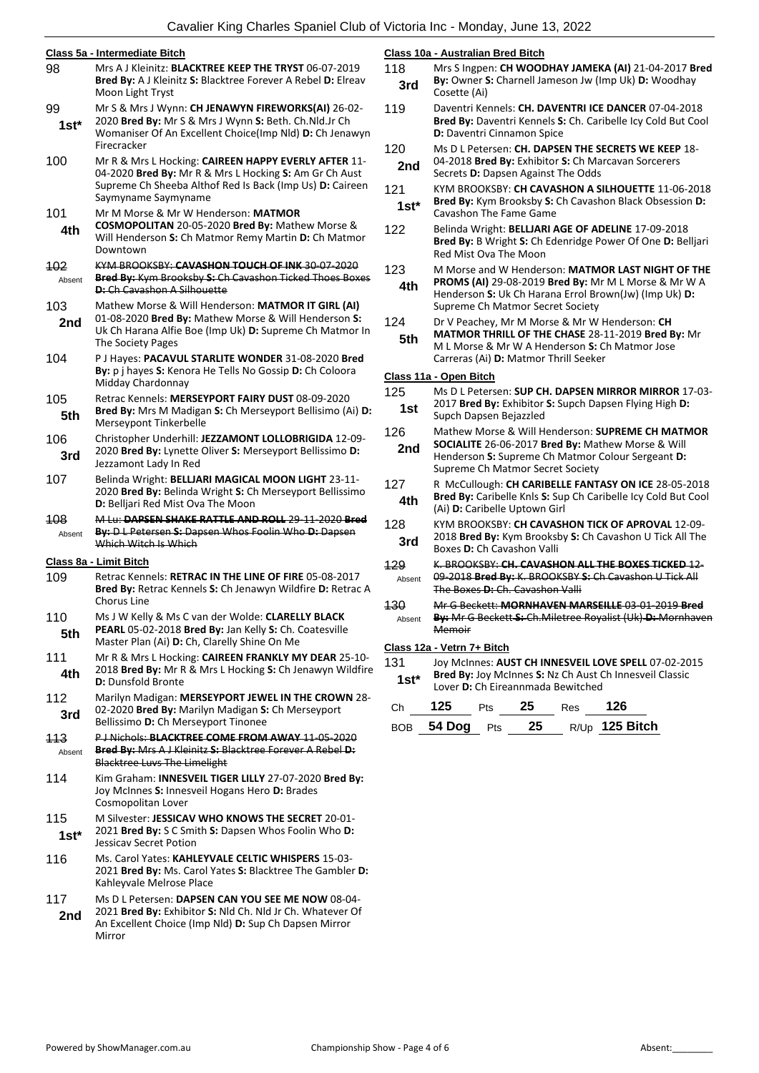|                      | Class 5a - Intermediate Bitch                                                                                                                                                                     | Clas                   |
|----------------------|---------------------------------------------------------------------------------------------------------------------------------------------------------------------------------------------------|------------------------|
| 98                   | Mrs A J Kleinitz: <b>BLACKTREE KEEP THE TRYST</b> 06-07-2019<br>Bred By: A J Kleinitz S: Blacktree Forever A Rebel D: Elreav<br>Moon Light Tryst                                                  | 118                    |
| 99<br>$1st*$         | Mr S & Mrs J Wynn: CH JENAWYN FIREWORKS(AI) 26-02-<br>2020 Bred By: Mr S & Mrs J Wynn S: Beth. Ch. Nld. Jr Ch<br>Womaniser Of An Excellent Choice(Imp Nld) D: Ch Jenawyn<br>Firecracker           | 11 <sub>5</sub><br>120 |
| 100                  | Mr R & Mrs L Hocking: CAIREEN HAPPY EVERLY AFTER 11-<br>04-2020 Bred By: Mr R & Mrs L Hocking S: Am Gr Ch Aust<br>Supreme Ch Sheeba Althof Red Is Back (Imp Us) D: Caireen<br>Saymyname Saymyname | $12^{\prime}$          |
| 101<br>4th           | Mr M Morse & Mr W Henderson: MATMOR<br>COSMOPOLITAN 20-05-2020 Bred By: Mathew Morse &<br>Will Henderson S: Ch Matmor Remy Martin D: Ch Matmor<br>Downtown                                        | 122                    |
| <b>102</b><br>Absent | KYM BROOKSBY: CAVASHON TOUCH OF INK 30-07-2020<br>Bred By: Kym Brooksby S: Ch Cavashon Ticked Thoes Boxes<br>D: Ch Cavashon A Silhouette                                                          | 123                    |
| 103<br>2nd           | Mathew Morse & Will Henderson: MATMOR IT GIRL (AI)<br>01-08-2020 Bred By: Mathew Morse & Will Henderson S:<br>Uk Ch Harana Alfie Boe (Imp Uk) D: Supreme Ch Matmor In<br>The Society Pages        | 124                    |
| 104                  | P J Hayes: PACAVUL STARLITE WONDER 31-08-2020 Bred<br>By: p j hayes S: Kenora He Tells No Gossip D: Ch Coloora<br>Midday Chardonnay                                                               | Clas                   |
| 105<br>5th           | Retrac Kennels: MERSEYPORT FAIRY DUST 08-09-2020<br>Bred By: Mrs M Madigan S: Ch Merseyport Bellisimo (Ai) D:<br>Merseypont Tinkerbelle                                                           | 125                    |
| 106<br>3rd           | Christopher Underhill: JEZZAMONT LOLLOBRIGIDA 12-09-<br>2020 Bred By: Lynette Oliver S: Merseyport Bellissimo D:<br>Jezzamont Lady In Red                                                         | 126                    |
| 107                  | Belinda Wright: BELLJARI MAGICAL MOON LIGHT 23-11-<br>2020 Bred By: Belinda Wright S: Ch Merseyport Bellissimo<br>D: Belljari Red Mist Ova The Moon                                               | 127                    |
| 108<br>Absent        | M Lu: DAPSEN SHAKE RATTLE AND ROLL 29-11-2020 Bred<br>By: D L Petersen S: Dapsen Whos Foolin Who D: Dapsen<br>Which Witch Is Which                                                                | 128                    |
|                      | Class 8a - Limit Bitch                                                                                                                                                                            | 429                    |
| 109                  | Retrac Kennels: RETRAC IN THE LINE OF FIRE 05-08-2017<br>Bred By: Retrac Kennels S: Ch Jenawyn Wildfire D: Retrac A<br><b>Chorus Line</b>                                                         | Α<br><del>130</del>    |
| 110<br>5th           | Ms J W Kelly & Ms C van der Wolde: CLARELLY BLACK<br>PEARL 05-02-2018 Bred By: Jan Kelly S: Ch. Coatesville<br>Master Plan (Ai) D: Ch, Clarelly Shine On Me                                       | Α                      |
| 111<br>4th           | Mr R & Mrs L Hocking: CAIREEN FRANKLY MY DEAR 25-10-<br>2018 Bred By: Mr R & Mrs L Hocking S: Ch Jenawyn Wildfire<br><b>D:</b> Dunsfold Bronte                                                    | Cla:<br>13'            |
| 112<br>3rd           | Marilyn Madigan: MERSEYPORT JEWEL IN THE CROWN 28-<br>02-2020 Bred By: Marilyn Madigan S: Ch Merseyport<br>Bellissimo D: Ch Merseyport Tinonee                                                    | Сł<br>B(               |
| 113<br>Absent        | P J Nichols: BLACKTREE COME FROM AWAY 11-05-2020<br>Bred By: Mrs A J Kleinitz S: Blacktree Forever A Rebel D:<br><b>Blacktree Luvs The Limelight</b>                                              |                        |
| 114                  | Kim Graham: INNESVEIL TIGER LILLY 27-07-2020 Bred By:<br>Joy McInnes S: Innesveil Hogans Hero D: Brades<br>Cosmopolitan Lover                                                                     |                        |
| 115<br>$1st*$        | M Silvester: JESSICAV WHO KNOWS THE SECRET 20-01-<br>2021 Bred By: S C Smith S: Dapsen Whos Foolin Who D:<br><b>Jessicav Secret Potion</b>                                                        |                        |
| 116                  | Ms. Carol Yates: KAHLEYVALE CELTIC WHISPERS 15-03-<br>2021 Bred By: Ms. Carol Yates S: Blacktree The Gambler D:<br>Kahleyvale Melrose Place                                                       |                        |
| 117<br>2nd           | Ms D L Petersen: DAPSEN CAN YOU SEE ME NOW 08-04-<br>2021 Bred By: Exhibitor S: Nld Ch. Nld Jr Ch. Whatever Of<br>An Excellent Choice (Imp Nld) D: Sup Ch Dapsen Mirror                           |                        |

**Class 10a - Australian Bred Bitch**

| 118<br>3rd    | Mrs S Ingpen: CH WOODHAY JAMEKA (AI) 21-04-2017 Bred<br>By: Owner S: Charnell Jameson Jw (Imp Uk) D: Woodhay<br>Cosette (Ai)                              |
|---------------|-----------------------------------------------------------------------------------------------------------------------------------------------------------|
| 119           | Daventri Kennels: CH. DAVENTRI ICE DANCER 07-04-2018<br>Bred By: Daventri Kennels S: Ch. Caribelle Icy Cold But Cool<br><b>D:</b> Daventri Cinnamon Spice |
| 120<br>2nd    | Ms D L Petersen: CH. DAPSEN THE SECRETS WE KEEP 18-<br>04-2018 Bred By: Exhibitor S: Ch Marcavan Sorcerers<br>Secrets D: Dapsen Against The Odds          |
| 121<br>$1st*$ | KYM BROOKSBY: CH CAVASHON A SILHOUETTE 11-06-2018<br>Bred By: Kym Brooksby S: Ch Cavashon Black Obsession D:<br>Cavashon The Fame Game                    |
| 122           | Belinda Wright: BELLJARI AGE OF ADELINE 17-09-2018                                                                                                        |

- **Bred By:** B Wright **S:** Ch Edenridge Power Of One **D:** Belljari Red Mist Ova The Moon
- 123 M Morse and W Henderson: **MATMOR LAST NIGHT OF THE PROMS (AI)** 29-08-2019 **Bred By:** Mr M L Morse & Mr W A Henderson **S:** Uk Ch Harana Errol Brown(Jw) (Imp Uk) **D:**  Supreme Ch Matmor Secret Society **4th**

Dr V Peachey, Mr M Morse & Mr W Henderson: CH

**MATMOR THRILL OF THE CHASE** 28-11-2019 **Bred By:** Mr M L Morse & Mr W A Henderson **S:** Ch Matmor Jose Carreras (Ai) **D:** Matmor Thrill Seeker **5th**

#### **Class 11a - Open Bitch**

- 125 Ms D L Petersen: **SUP CH. DAPSEN MIRROR MIRROR** 17-03- 2017 **Bred By:** Exhibitor **S:** Supch Dapsen Flying High **D:**
- **1st** 2017 **Bred By:** Exhibitor 3<br>Supch Dapsen Bejazzled
- 126 Mathew Morse & Will Henderson: **SUPREME CH MATMOR SOCIALITE** 26-06-2017 **Bred By:** Mathew Morse & Will
- Henderson **S:** Supreme Ch Matmor Colour Sergeant **D:**  Supreme Ch Matmor Secret Society **2nd**
- 127 R McCullough: **CH CARIBELLE FANTASY ON ICE** 28-05-2018 **Bred By:** Caribelle Knls **S:** Sup Ch Caribelle Icy Cold But Cool **4th Bred By:** Caribelle KnIs **S:** Sup<br>(Ai) **D:** Caribelle Uptown Girl **(20)**
- 128 KYM BROOKSBY: **CH CAVASHON TICK OF APROVAL** 12-09-
- 2018 **Bred By:** Kym Brooksby **S:** Ch Cavashon U Tick All The **3rd** 2018 **Bred By:** Kym Brooksk<br>Boxes **D:** Ch Cavashon Valli
- 129 K. BROOKSBY: **CH. CAVASHON ALL THE BOXES TICKED** 12- 09-2018 **Bred By:** K. BROOKSBY **S:** Ch Cavashon U Tick All The Boxes **D:** Ch. Cavashon Valli bsent
- 130 Mr G Beckett: **MORNHAVEN MARSEILLE** 03-01-2019 **Bred By:** Mr G Beckett S: Ch. Miletree Royalist (Uk) D: Mornha Memoir Absent

#### **Class 12a - Vetrn 7+ Bitch**

131 Joy McInnes: **AUST CH INNESVEIL LOVE SPELL** 07-02-2015 **Bred By:** Joy McInnes **S:** Nz Ch Aust Ch Innesveil Classic **1818 Bred By:** Joy McInnes **5:** Nz Ch Aust Construction D: Ch Eireannmada Bewitched

| Ch 125 Pts 25 Res 126 |  |                                  |
|-----------------------|--|----------------------------------|
|                       |  | BOB 54 Dog Pts 25 R/Up 125 Bitch |

Mirror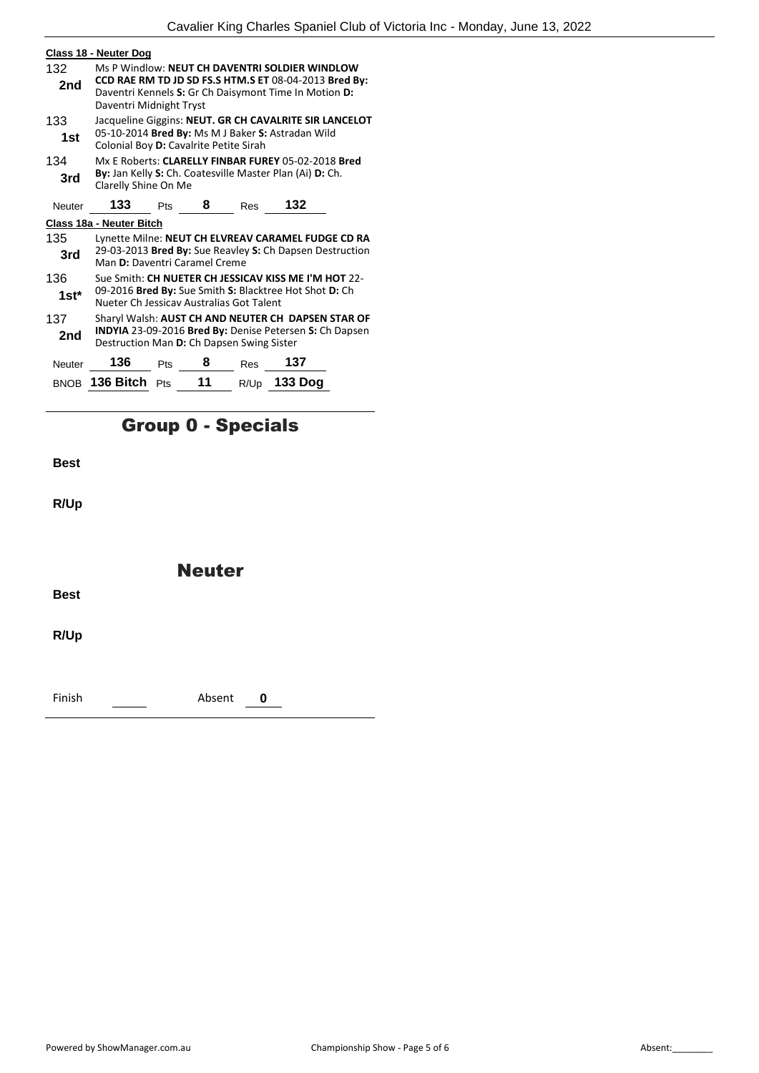|               | Class 18 - Neuter Dog                                                                                                                                                                       |                                                                                                                                                       |    |      |                                                          |  |
|---------------|---------------------------------------------------------------------------------------------------------------------------------------------------------------------------------------------|-------------------------------------------------------------------------------------------------------------------------------------------------------|----|------|----------------------------------------------------------|--|
| 132<br>2nd    | Ms P Windlow: NEUT CH DAVENTRI SOLDIER WINDLOW<br>CCD RAE RM TD JD SD FS.S HTM.S ET 08-04-2013 Bred By:<br>Daventri Kennels S: Gr Ch Daisymont Time In Motion D:<br>Daventri Midnight Tryst |                                                                                                                                                       |    |      |                                                          |  |
| 133<br>1st    |                                                                                                                                                                                             | Jacqueline Giggins: NEUT. GR CH CAVALRITE SIR LANCELOT<br>05-10-2014 Bred By: Ms M J Baker S: Astradan Wild<br>Colonial Boy D: Cavalrite Petite Sirah |    |      |                                                          |  |
| 134<br>3rd    | Mx E Roberts: CLARELLY FINBAR FUREY 05-02-2018 Bred<br>By: Jan Kelly S: Ch. Coatesville Master Plan (Ai) D: Ch.<br>Clarelly Shine On Me                                                     |                                                                                                                                                       |    |      |                                                          |  |
| Neuter        | 133                                                                                                                                                                                         | Pts                                                                                                                                                   | 8  | Res  | 132                                                      |  |
|               | Class 18a - Neuter Bitch                                                                                                                                                                    |                                                                                                                                                       |    |      |                                                          |  |
| 135           |                                                                                                                                                                                             |                                                                                                                                                       |    |      | Lynette Milne: NEUT CH ELVREAV CARAMEL FUDGE CD RA       |  |
| 3rd           | Man D: Daventri Caramel Creme                                                                                                                                                               |                                                                                                                                                       |    |      | 29-03-2013 Bred By: Sue Reavley S: Ch Dapsen Destruction |  |
| 136           |                                                                                                                                                                                             |                                                                                                                                                       |    |      | Sue Smith: CH NUETER CH JESSICAV KISS ME I'M HOT 22-     |  |
| $1st^*$       | 09-2016 Bred By: Sue Smith S: Blacktree Hot Shot D: Ch<br>Nueter Ch Jessicay Australias Got Talent                                                                                          |                                                                                                                                                       |    |      |                                                          |  |
| 137<br>2nd    | Sharyl Walsh: AUST CH AND NEUTER CH DAPSEN STAR OF<br><b>INDYIA</b> 23-09-2016 Bred By: Denise Petersen S: Ch Dapsen<br>Destruction Man D: Ch Dapsen Swing Sister                           |                                                                                                                                                       |    |      |                                                          |  |
| <b>Neuter</b> | 136                                                                                                                                                                                         | Pts                                                                                                                                                   | 8  | Res  | 137                                                      |  |
| <b>BNOB</b>   | 136 Bitch                                                                                                                                                                                   | <b>Pts</b>                                                                                                                                            | 11 | R/Up | 133 Dog                                                  |  |

## Group 0 - Specials

**Best**

**R/Up**

Neuter

**Best**

**R/Up**

Finish Absent **0**